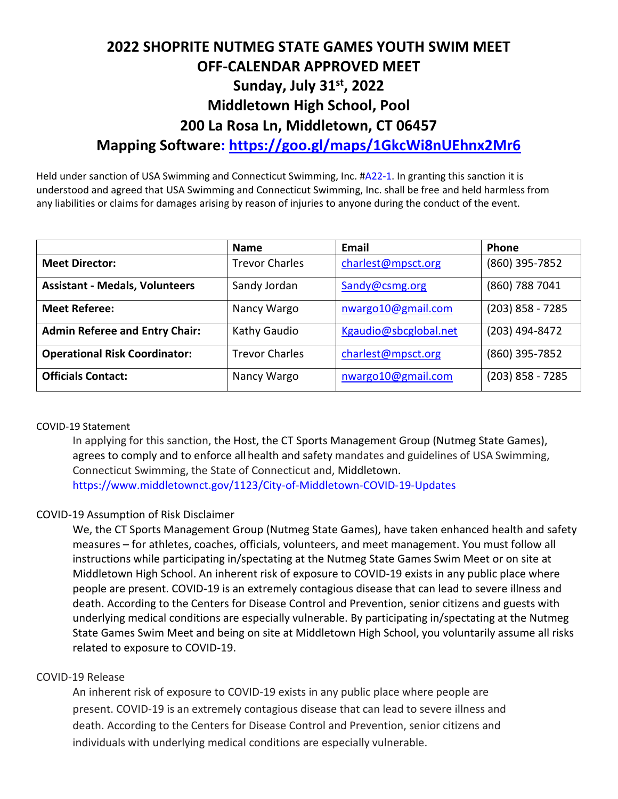# **2022 SHOPRITE NUTMEG STATE GAMES YOUTH SWIM MEET OFF-CALENDAR APPROVED MEET Sunday, July 31st, 2022 Middletown High School, Pool 200 La Rosa Ln, Middletown, CT 06457 Mapping Software:<https://goo.gl/maps/1GkcWi8nUEhnx2Mr6>**

Held under sanction of USA Swimming and Connecticut Swimming, Inc. #A22-1. In granting this sanction it is understood and agreed that USA Swimming and Connecticut Swimming, Inc. shall be free and held harmless from any liabilities or claims for damages arising by reason of injuries to anyone during the conduct of the event.

|                                       | <b>Name</b>           | Email                 | <b>Phone</b>       |
|---------------------------------------|-----------------------|-----------------------|--------------------|
| <b>Meet Director:</b>                 | <b>Trevor Charles</b> | charlest@mpsct.org    | (860) 395-7852     |
| <b>Assistant - Medals, Volunteers</b> | Sandy Jordan          | Sandy@csmg.org        | (860) 788 7041     |
| <b>Meet Referee:</b>                  | Nancy Wargo           | nwargo10@gmail.com    | $(203)$ 858 - 7285 |
| <b>Admin Referee and Entry Chair:</b> | Kathy Gaudio          | Kgaudio@sbcglobal.net | (203) 494-8472     |
| <b>Operational Risk Coordinator:</b>  | <b>Trevor Charles</b> | charlest@mpsct.org    | (860) 395-7852     |
| <b>Officials Contact:</b>             | Nancy Wargo           | nwargo10@gmail.com    | $(203)$ 858 - 7285 |

#### COVID-19 Statement

In applying for this sanction, the Host, the CT Sports Management Group (Nutmeg State Games), agrees to comply and to enforce all health and safety mandates and guidelines of USA Swimming, Connecticut Swimming, the State of Connecticut and, Middletown. https://www.middletownct.gov/1123/City-of-Middletown-COVID-19-Updates

#### COVID-19 Assumption of Risk Disclaimer

We, the CT Sports Management Group (Nutmeg State Games), have taken enhanced health and safety measures – for athletes, coaches, officials, volunteers, and meet management. You must follow all instructions while participating in/spectating at the Nutmeg State Games Swim Meet or on site at Middletown High School. An inherent risk of exposure to COVID-19 exists in any public place where people are present. COVID-19 is an extremely contagious disease that can lead to severe illness and death. According to the Centers for Disease Control and Prevention, senior citizens and guests with underlying medical conditions are especially vulnerable. By participating in/spectating at the Nutmeg State Games Swim Meet and being on site at Middletown High School, you voluntarily assume all risks related to exposure to COVID-19.

#### COVID-19 Release

An inherent risk of exposure to COVID-19 exists in any public place where people are present. COVID-19 is an extremely contagious disease that can lead to severe illness and death. According to the Centers for Disease Control and Prevention, senior citizens and individuals with underlying medical conditions are especially vulnerable.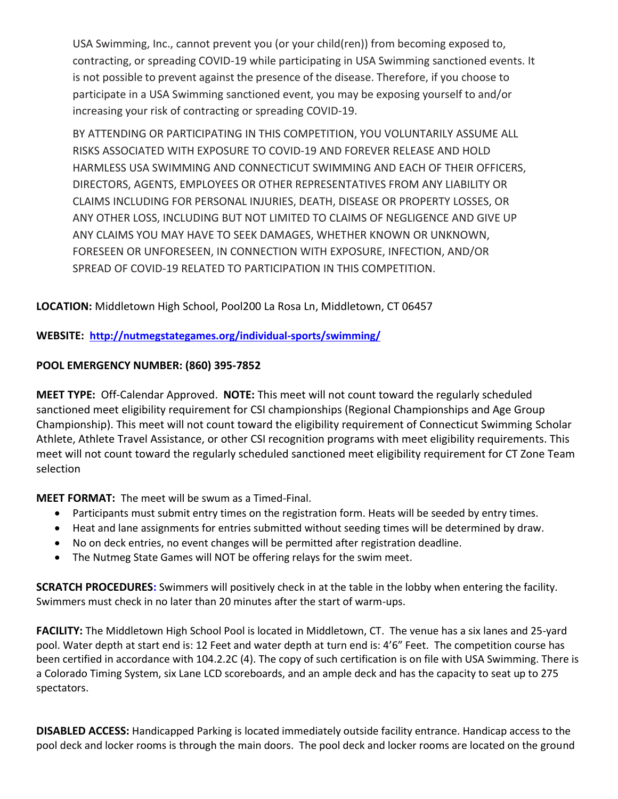USA Swimming, Inc., cannot prevent you (or your child(ren)) from becoming exposed to, contracting, or spreading COVID-19 while participating in USA Swimming sanctioned events. It is not possible to prevent against the presence of the disease. Therefore, if you choose to participate in a USA Swimming sanctioned event, you may be exposing yourself to and/or increasing your risk of contracting or spreading COVID-19.

BY ATTENDING OR PARTICIPATING IN THIS COMPETITION, YOU VOLUNTARILY ASSUME ALL RISKS ASSOCIATED WITH EXPOSURE TO COVID-19 AND FOREVER RELEASE AND HOLD HARMLESS USA SWIMMING AND CONNECTICUT SWIMMING AND EACH OF THEIR OFFICERS, DIRECTORS, AGENTS, EMPLOYEES OR OTHER REPRESENTATIVES FROM ANY LIABILITY OR CLAIMS INCLUDING FOR PERSONAL INJURIES, DEATH, DISEASE OR PROPERTY LOSSES, OR ANY OTHER LOSS, INCLUDING BUT NOT LIMITED TO CLAIMS OF NEGLIGENCE AND GIVE UP ANY CLAIMS YOU MAY HAVE TO SEEK DAMAGES, WHETHER KNOWN OR UNKNOWN, FORESEEN OR UNFORESEEN, IN CONNECTION WITH EXPOSURE, INFECTION, AND/OR SPREAD OF COVID-19 RELATED TO PARTICIPATION IN THIS COMPETITION.

**LOCATION:** Middletown High School, Pool200 La Rosa Ln, Middletown, CT 06457

**WEBSITE: <http://nutmegstategames.org/individual-sports/swimming/>**

# **POOL EMERGENCY NUMBER: (860) 395-7852**

**MEET TYPE:** Off-Calendar Approved. **NOTE:** This meet will not count toward the regularly scheduled sanctioned meet eligibility requirement for CSI championships (Regional Championships and Age Group Championship). This meet will not count toward the eligibility requirement of Connecticut Swimming Scholar Athlete, Athlete Travel Assistance, or other CSI recognition programs with meet eligibility requirements. This meet will not count toward the regularly scheduled sanctioned meet eligibility requirement for CT Zone Team selection

**MEET FORMAT:** The meet will be swum as a Timed-Final.

- Participants must submit entry times on the registration form. Heats will be seeded by entry times.
- Heat and lane assignments for entries submitted without seeding times will be determined by draw.
- No on deck entries, no event changes will be permitted after registration deadline.
- The Nutmeg State Games will NOT be offering relays for the swim meet.

**SCRATCH PROCEDURES:** Swimmers will positively check in at the table in the lobby when entering the facility. Swimmers must check in no later than 20 minutes after the start of warm-ups.

**FACILITY:** The Middletown High School Pool is located in Middletown, CT. The venue has a six lanes and 25-yard pool. Water depth at start end is: 12 Feet and water depth at turn end is: 4'6" Feet. The competition course has been certified in accordance with 104.2.2C (4). The copy of such certification is on file with USA Swimming. There is a Colorado Timing System, six Lane LCD scoreboards, and an ample deck and has the capacity to seat up to 275 spectators.

**DISABLED ACCESS:** Handicapped Parking is located immediately outside facility entrance. Handicap access to the pool deck and locker rooms is through the main doors. The pool deck and locker rooms are located on the ground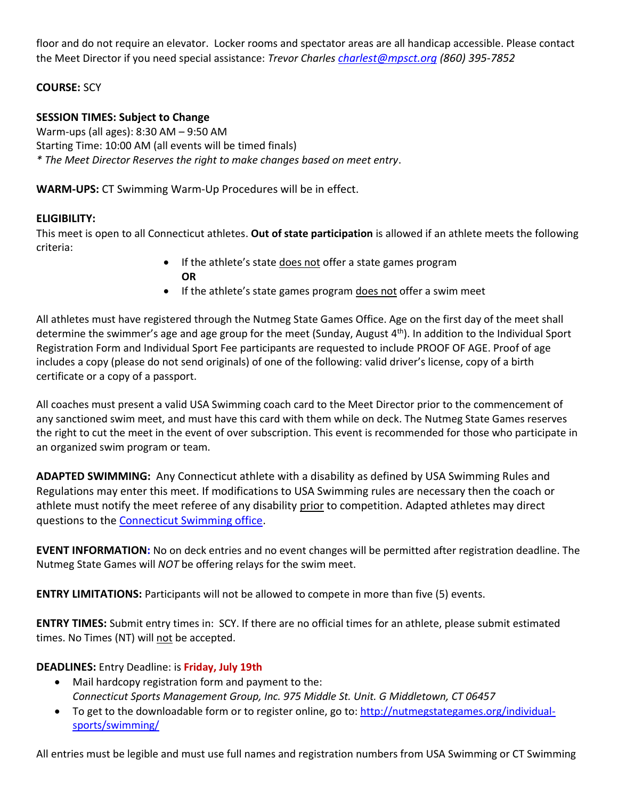floor and do not require an elevator. Locker rooms and spectator areas are all handicap accessible. Please contact the Meet Director if you need special assistance: *Trevor Charles [charlest@mpsct.org](mailto:charlest@mpsct.org) (860) 395-7852*

## **COURSE:** SCY

## **SESSION TIMES: Subject to Change**

Warm-ups (all ages): 8:30 AM – 9:50 AM Starting Time: 10:00 AM (all events will be timed finals) *\* The Meet Director Reserves the right to make changes based on meet entry*.

**WARM-UPS:** CT Swimming Warm-Up Procedures will be in effect.

#### **ELIGIBILITY:**

This meet is open to all Connecticut athletes. **Out of state participation** is allowed if an athlete meets the following criteria:

- If the athlete's state does not offer a state games program **OR**
- If the athlete's state games program does not offer a swim meet

All athletes must have registered through the Nutmeg State Games Office. Age on the first day of the meet shall determine the swimmer's age and age group for the meet (Sunday, August 4<sup>th</sup>). In addition to the Individual Sport Registration Form and Individual Sport Fee participants are requested to include PROOF OF AGE. Proof of age includes a copy (please do not send originals) of one of the following: valid driver's license, copy of a birth certificate or a copy of a passport.

All coaches must present a valid USA Swimming coach card to the Meet Director prior to the commencement of any sanctioned swim meet, and must have this card with them while on deck. The Nutmeg State Games reserves the right to cut the meet in the event of over subscription. This event is recommended for those who participate in an organized swim program or team.

**ADAPTED SWIMMING:** Any Connecticut athlete with a disability as defined by USA Swimming Rules and Regulations may enter this meet. If modifications to USA Swimming rules are necessary then the coach or athlete must notify the meet referee of any disability prior to competition. Adapted athletes may direct questions to the [Connecticut Swimming office.](mailto:office@ctswim.org)

**EVENT INFORMATION:** No on deck entries and no event changes will be permitted after registration deadline. The Nutmeg State Games will *NOT* be offering relays for the swim meet.

**ENTRY LIMITATIONS:** Participants will not be allowed to compete in more than five (5) events.

**ENTRY TIMES:** Submit entry times in: SCY. If there are no official times for an athlete, please submit estimated times. No Times (NT) will not be accepted.

#### **DEADLINES:** Entry Deadline: is **Friday, July 19th**

- Mail hardcopy registration form and payment to the: *Connecticut Sports Management Group, Inc. 975 Middle St. Unit. G Middletown, CT 06457*
- To get to the downloadable form or to register online, go to: [http://nutmegstategames.org/individual](http://nutmegstategames.org/individual-sports/swimming/)[sports/swimming/](http://nutmegstategames.org/individual-sports/swimming/)

All entries must be legible and must use full names and registration numbers from USA Swimming or CT Swimming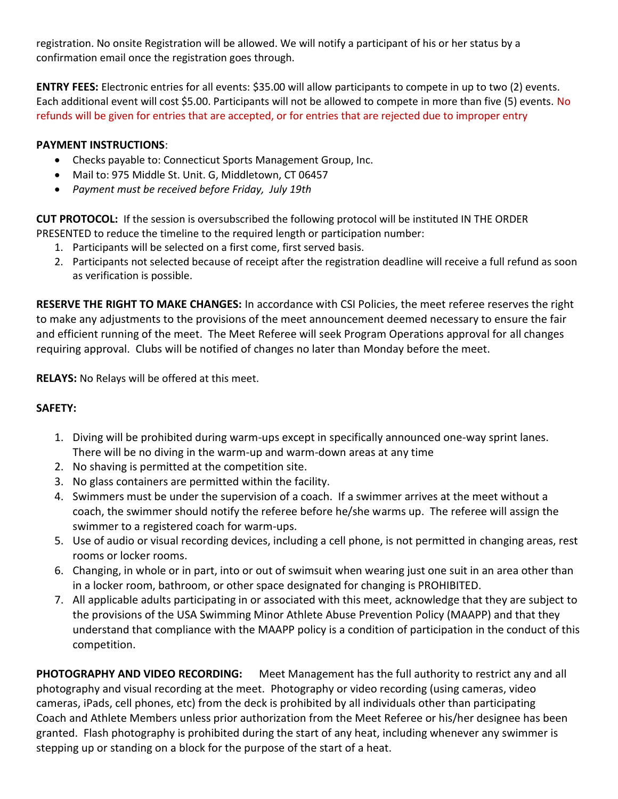registration. No onsite Registration will be allowed. We will notify a participant of his or her status by a confirmation email once the registration goes through.

**ENTRY FEES:** Electronic entries for all events: \$35.00 will allow participants to compete in up to two (2) events. Each additional event will cost \$5.00. Participants will not be allowed to compete in more than five (5) events. No refunds will be given for entries that are accepted, or for entries that are rejected due to improper entry

### **PAYMENT INSTRUCTIONS**:

- Checks payable to: Connecticut Sports Management Group, Inc.
- Mail to: 975 Middle St. Unit. G, Middletown, CT 06457
- *Payment must be received before Friday, July 19th*

**CUT PROTOCOL:** If the session is oversubscribed the following protocol will be instituted IN THE ORDER PRESENTED to reduce the timeline to the required length or participation number:

- 1. Participants will be selected on a first come, first served basis.
- 2. Participants not selected because of receipt after the registration deadline will receive a full refund as soon as verification is possible.

**RESERVE THE RIGHT TO MAKE CHANGES:** In accordance with CSI Policies, the meet referee reserves the right to make any adjustments to the provisions of the meet announcement deemed necessary to ensure the fair and efficient running of the meet. The Meet Referee will seek Program Operations approval for all changes requiring approval. Clubs will be notified of changes no later than Monday before the meet.

**RELAYS:** No Relays will be offered at this meet.

#### **SAFETY:**

- 1. Diving will be prohibited during warm-ups except in specifically announced one-way sprint lanes. There will be no diving in the warm-up and warm-down areas at any time
- 2. No shaving is permitted at the competition site.
- 3. No glass containers are permitted within the facility.
- 4. Swimmers must be under the supervision of a coach. If a swimmer arrives at the meet without a coach, the swimmer should notify the referee before he/she warms up. The referee will assign the swimmer to a registered coach for warm-ups.
- 5. Use of audio or visual recording devices, including a cell phone, is not permitted in changing areas, rest rooms or locker rooms.
- 6. Changing, in whole or in part, into or out of swimsuit when wearing just one suit in an area other than in a locker room, bathroom, or other space designated for changing is PROHIBITED.
- 7. All applicable adults participating in or associated with this meet, acknowledge that they are subject to the provisions of the USA Swimming Minor Athlete Abuse Prevention Policy (MAAPP) and that they understand that compliance with the MAAPP policy is a condition of participation in the conduct of this competition.

**PHOTOGRAPHY AND VIDEO RECORDING:** Meet Management has the full authority to restrict any and all photography and visual recording at the meet. Photography or video recording (using cameras, video cameras, iPads, cell phones, etc) from the deck is prohibited by all individuals other than participating Coach and Athlete Members unless prior authorization from the Meet Referee or his/her designee has been granted. Flash photography is prohibited during the start of any heat, including whenever any swimmer is stepping up or standing on a block for the purpose of the start of a heat.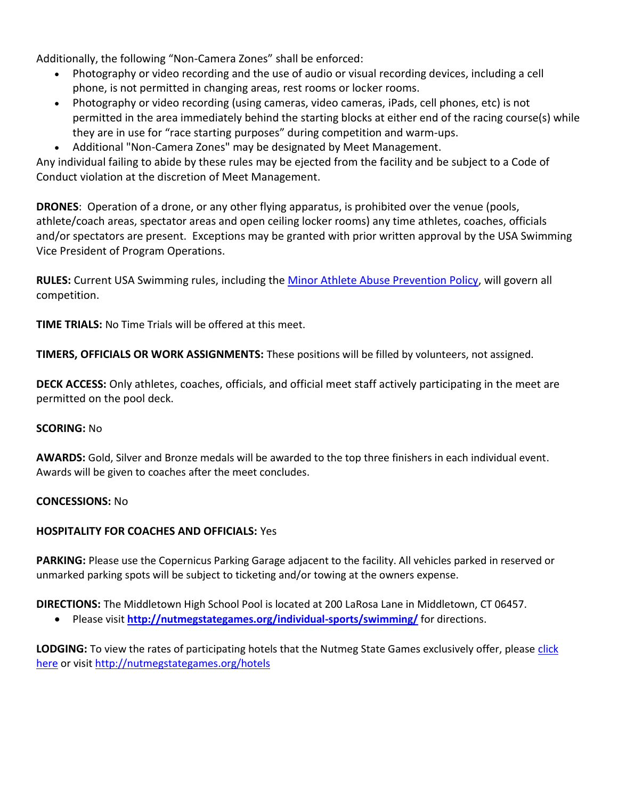Additionally, the following "Non-Camera Zones" shall be enforced:

- Photography or video recording and the use of audio or visual recording devices, including a cell phone, is not permitted in changing areas, rest rooms or locker rooms.
- Photography or video recording (using cameras, video cameras, iPads, cell phones, etc) is not permitted in the area immediately behind the starting blocks at either end of the racing course(s) while they are in use for "race starting purposes" during competition and warm-ups.
- Additional "Non-Camera Zones" may be designated by Meet Management.

Any individual failing to abide by these rules may be ejected from the facility and be subject to a Code of Conduct violation at the discretion of Meet Management.

**DRONES**: Operation of a drone, or any other flying apparatus, is prohibited over the venue (pools, athlete/coach areas, spectator areas and open ceiling locker rooms) any time athletes, coaches, officials and/or spectators are present. Exceptions may be granted with prior written approval by the USA Swimming Vice President of Program Operations.

**RULES:** Current USA Swimming rules, including the [Minor Athlete Abuse Prevention Policy,](https://www.usaswimming.org/utility/landing-pages/minor-athlete-abuse-prevention-policy) will govern all competition.

**TIME TRIALS:** No Time Trials will be offered at this meet.

**TIMERS, OFFICIALS OR WORK ASSIGNMENTS:** These positions will be filled by volunteers, not assigned.

**DECK ACCESS:** Only athletes, coaches, officials, and official meet staff actively participating in the meet are permitted on the pool deck.

#### **SCORING:** No

**AWARDS:** Gold, Silver and Bronze medals will be awarded to the top three finishers in each individual event. Awards will be given to coaches after the meet concludes.

#### **CONCESSIONS:** No

# **HOSPITALITY FOR COACHES AND OFFICIALS:** Yes

**PARKING:** Please use the Copernicus Parking Garage adjacent to the facility. All vehicles parked in reserved or unmarked parking spots will be subject to ticketing and/or towing at the owners expense.

#### **DIRECTIONS:** The Middletown High School Pool is located at 200 LaRosa Lane in Middletown, CT 06457.

• Please visit **<http://nutmegstategames.org/individual-sports/swimming/>** for directions.

LODGING: To view the rates of participating hotels that the Nutmeg State Games exclusively offer, please click [here](http://nutmegstategames.org/hotels) or visit<http://nutmegstategames.org/hotels>